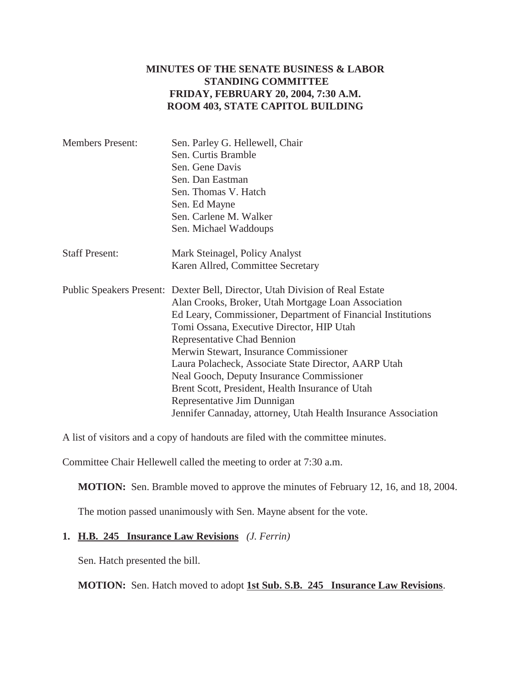### **MINUTES OF THE SENATE BUSINESS & LABOR STANDING COMMITTEE FRIDAY, FEBRUARY 20, 2004, 7:30 A.M. ROOM 403, STATE CAPITOL BUILDING**

| <b>Members Present:</b> | Sen. Parley G. Hellewell, Chair                                              |
|-------------------------|------------------------------------------------------------------------------|
|                         | Sen. Curtis Bramble                                                          |
|                         | Sen. Gene Davis                                                              |
|                         | Sen. Dan Eastman                                                             |
|                         | Sen. Thomas V. Hatch                                                         |
|                         | Sen. Ed Mayne                                                                |
|                         | Sen. Carlene M. Walker                                                       |
|                         | Sen. Michael Waddoups                                                        |
| <b>Staff Present:</b>   | Mark Steinagel, Policy Analyst                                               |
|                         | Karen Allred, Committee Secretary                                            |
|                         | Public Speakers Present: Dexter Bell, Director, Utah Division of Real Estate |
|                         | Alan Crooks, Broker, Utah Mortgage Loan Association                          |
|                         | Ed Leary, Commissioner, Department of Financial Institutions                 |
|                         | Tomi Ossana, Executive Director, HIP Utah                                    |
|                         | Representative Chad Bennion                                                  |
|                         | Merwin Stewart, Insurance Commissioner                                       |
|                         | Laura Polacheck, Associate State Director, AARP Utah                         |
|                         | Neal Gooch, Deputy Insurance Commissioner                                    |
|                         | Brent Scott, President, Health Insurance of Utah                             |
|                         | Representative Jim Dunnigan                                                  |
|                         | Jennifer Cannaday, attorney, Utah Health Insurance Association               |

A list of visitors and a copy of handouts are filed with the committee minutes.

Committee Chair Hellewell called the meeting to order at 7:30 a.m.

**MOTION:** Sen. Bramble moved to approve the minutes of February 12, 16, and 18, 2004.

The motion passed unanimously with Sen. Mayne absent for the vote.

#### **1. H.B. 245 Insurance Law Revisions** *(J. Ferrin)*

Sen. Hatch presented the bill.

**MOTION:** Sen. Hatch moved to adopt **1st Sub. S.B. 245 Insurance Law Revisions**.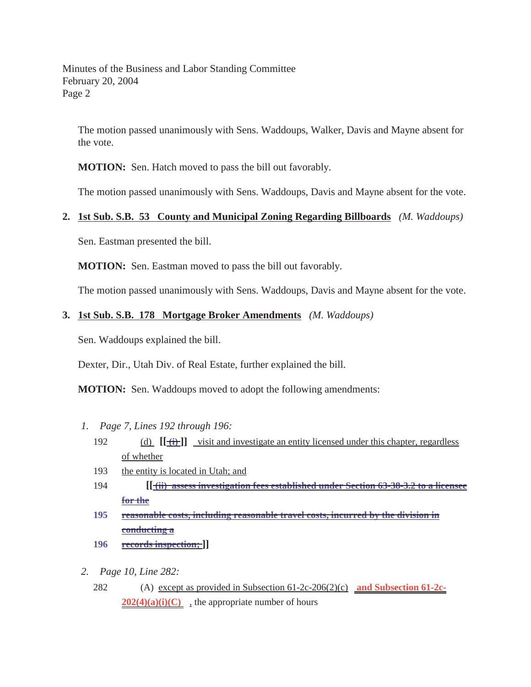The motion passed unanimously with Sens. Waddoups, Walker, Davis and Mayne absent for the vote.

**MOTION:** Sen. Hatch moved to pass the bill out favorably.

The motion passed unanimously with Sens. Waddoups, Davis and Mayne absent for the vote.

#### **2. 1st Sub. S.B. 53 County and Municipal Zoning Regarding Billboards** *(M. Waddoups)*

Sen. Eastman presented the bill.

**MOTION:** Sen. Eastman moved to pass the bill out favorably.

The motion passed unanimously with Sens. Waddoups, Davis and Mayne absent for the vote.

#### **3. 1st Sub. S.B. 178 Mortgage Broker Amendments** *(M. Waddoups)*

Sen. Waddoups explained the bill.

Dexter, Dir., Utah Div. of Real Estate, further explained the bill.

**MOTION:** Sen. Waddoups moved to adopt the following amendments:

- *1. Page 7, Lines 192 through 196:*
	- 192 (d)  $[[\overrightarrow{f}]]$  visit and investigate an entity licensed under this chapter, regardless of whether
	- 193 the entity is located in Utah; and
	- 194 **[[ (ii) assess investigation fees established under Section 63-38-3.2 to a licensee for the**
	- **195 reasonable costs, including reasonable travel costs, incurred by the division in conducting a**
	- **196 records inspection; ]]**
- *2. Page 10, Line 282:*
	- 282 (A) except as provided in Subsection 61-2c-206(2)(c) **and Subsection 61-2c-** $202(4)(a)(i)(C)$ , the appropriate number of hours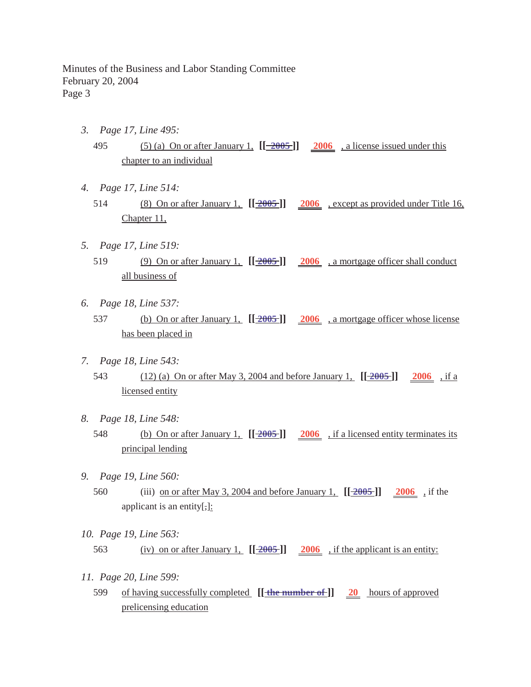- *3. Page 17, Line 495:*
	- 495 (5) (a) On or after January 1, **[[ 2005 ]] 2006** , a license issued under this chapter to an individual
- *4. Page 17, Line 514:*
	- 514 (8) On or after January 1, **[[ 2005 ]] 2006** , except as provided under Title 16, Chapter 11,
- *5. Page 17, Line 519:*
	- 519 (9) On or after January 1, **[[ 2005 ]] 2006** , a mortgage officer shall conduct all business of
- *6. Page 18, Line 537:*
	- 537 (b) On or after January 1, **[[ 2005 ]] 2006** , a mortgage officer whose license has been placed in
- *7. Page 18, Line 543:*
	- 543 (12) (a) On or after May 3, 2004 and before January 1, **[[ 2005 ]] 2006** , if a licensed entity
- *8. Page 18, Line 548:*
	- 548 (b) On or after January 1, **[[ 2005 ]] 2006** , if a licensed entity terminates its principal lending
- *9. Page 19, Line 560:*
	- 560 (iii) on or after May 3, 2004 and before January 1, **[[ 2005 ]] 2006** , if the applicant is an entity[,]:
- *10. Page 19, Line 563:* 563 (iv) on or after January 1,  $[[2005]]$  2006, if the applicant is an entity:
- *11. Page 20, Line 599:*
	- 599 of having successfully completed **[[ the number of ]] 20** hours of approved prelicensing education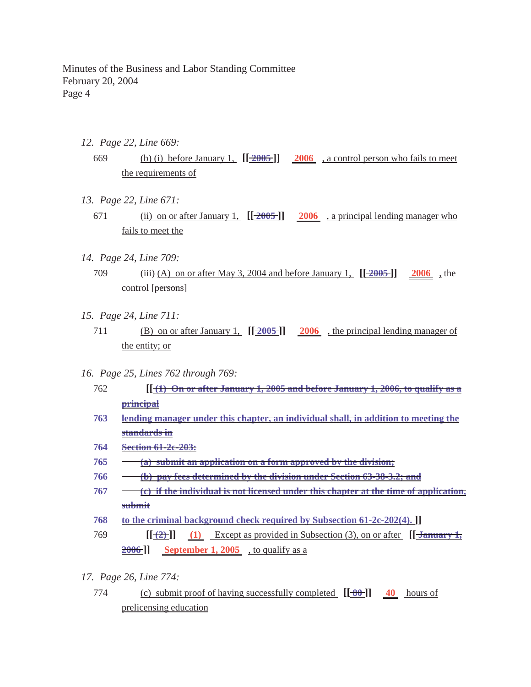- *12. Page 22, Line 669:*
	- 669 (b) (i) before January 1, **[[ 2005 ]] 2006** , a control person who fails to meet the requirements of
- *13. Page 22, Line 671:*
	- 671 (ii) on or after January 1, **[[ 2005 ]] 2006** , a principal lending manager who fails to meet the
- *14. Page 24, Line 709:*
	- 709 (iii) (A) on or after May 3, 2004 and before January 1, **[[ 2005 ]] 2006** , the control [persons]
- *15. Page 24, Line 711:*
	- 711 (B) on or after January 1, **[[ 2005 ]] 2006** , the principal lending manager of the entity; or
- *16. Page 25, Lines 762 through 769:*
	- 762 **[[ (1) On or after January 1, 2005 and before January 1, 2006, to qualify as a principal**
	- **763 lending manager under this chapter, an individual shall, in addition to meeting the standards in**
	- **764 Section 61-2c-203:**
	- **765 (a) submit an application on a form approved by the division;**
	- **766 (b) pay fees determined by the division under Section 63-38-3.2; and**
	- **767 (c) if the individual is not licensed under this chapter at the time of application, submit**
	- **768 to the criminal background check required by Subsection 61-2c-202(4). ]]**
	- 769 **[[ (2) ]] [[ (1)** Except as provided in Subsection (3), on or after **January 1, 2006 ]] September 1, 2005** , to qualify as a
- *17. Page 26, Line 774:*
	- 774 (c) submit proof of having successfully completed **[[ 80 ]] 40** hours of prelicensing education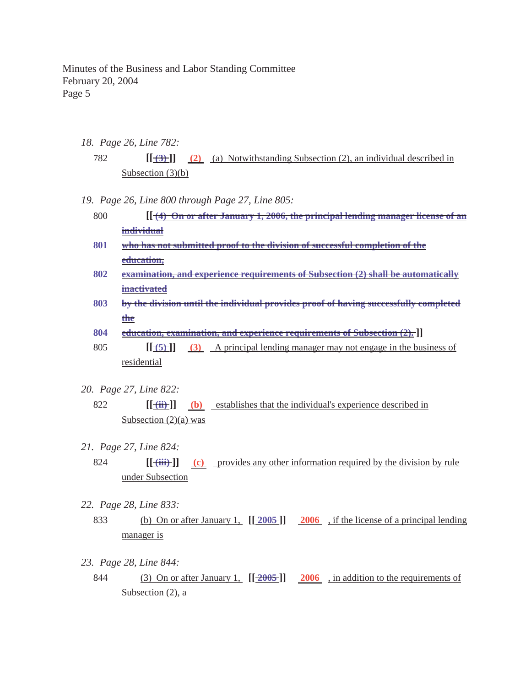*18. Page 26, Line 782:*

782 **[[ (3) ]] (2)** (a) Notwithstanding Subsection (2), an individual described in Subsection (3)(b)

- *19. Page 26, Line 800 through Page 27, Line 805:*
	- 800 **[[ (4) On or after January 1, 2006, the principal lending manager license of an individual**
	- **801 who has not submitted proof to the division of successful completion of the education,**
	- **802 examination, and experience requirements of Subsection (2) shall be automatically inactivated**
	- **803 by the division until the individual provides proof of having successfully completed the**
	- **804 education, examination, and experience requirements of Subsection (2). ]]**
	- 805 **[[ (5) ]] (3)** A principal lending manager may not engage in the business of residential
- *20. Page 27, Line 822:*
	- 822 **[[ (ii) ]] (b)** establishes that the individual's experience described in Subsection  $(2)(a)$  was
- *21. Page 27, Line 824:*
	- 824 **[** $\frac{(\text{iii})}{\text{iv}}$ ] (c) provides any other information required by the division by rule under Subsection
- *22. Page 28, Line 833:*
	- 833 (b) On or after January 1, **[[ 2005 ]] 2006** , if the license of a principal lending manager is
- *23. Page 28, Line 844:*
	- 844 (3) On or after January 1, **[[ 2005 ]] 2006** , in addition to the requirements of Subsection (2), a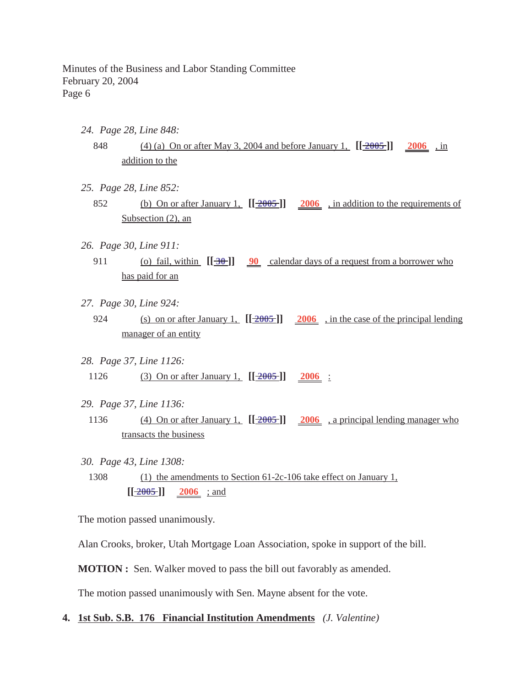- *24. Page 28, Line 848:*
	- 848 (4) (a) On or after May 3, 2004 and before January 1, **[[ 2005 ]] 2006** , in addition to the
- *25. Page 28, Line 852:*
	- 852 (b) On or after January 1, **[[ 2005 ]] 2006** , in addition to the requirements of Subsection (2), an
- *26. Page 30, Line 911:*
	- 911 (o) fail, within  $[\frac{30}{90}$  **90** calendar days of a request from a borrower who has paid for an
- *27. Page 30, Line 924:*
	- 924 (s) on or after January 1, **[[ 2005 ]] 2006** , in the case of the principal lending manager of an entity
- *28. Page 37, Line 1126:* 1126 (3) On or after January 1,  $[[2005]]$  2006 :
- *29. Page 37, Line 1136:*
- 1136 (4) On or after January 1, **[[ 2005 ]] 2006** , a principal lending manager who transacts the business
- *30. Page 43, Line 1308:*
- 1308 (1) the amendments to Section 61-2c-106 take effect on January 1,  $[\frac{2005}{]}]$  2006 ; and

The motion passed unanimously.

Alan Crooks, broker, Utah Mortgage Loan Association, spoke in support of the bill.

**MOTION :** Sen. Walker moved to pass the bill out favorably as amended.

The motion passed unanimously with Sen. Mayne absent for the vote.

**4. 1st Sub. S.B. 176 Financial Institution Amendments** *(J. Valentine)*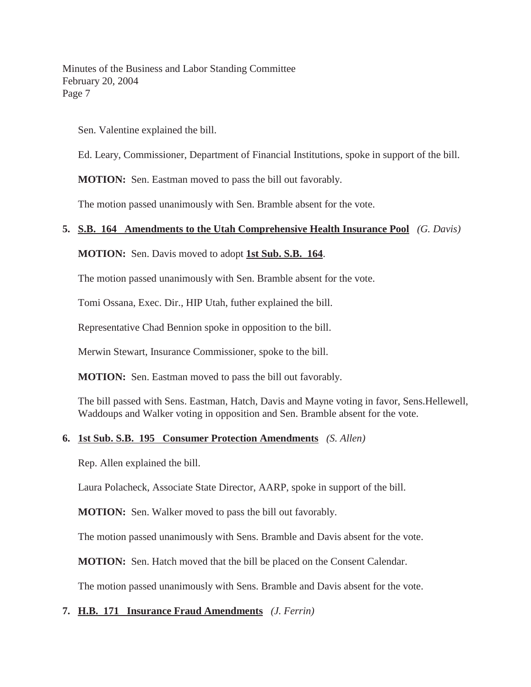Sen. Valentine explained the bill.

Ed. Leary, Commissioner, Department of Financial Institutions, spoke in support of the bill.

**MOTION:** Sen. Eastman moved to pass the bill out favorably.

The motion passed unanimously with Sen. Bramble absent for the vote.

## **5. S.B. 164 Amendments to the Utah Comprehensive Health Insurance Pool** *(G. Davis)*

**MOTION:** Sen. Davis moved to adopt **1st Sub. S.B. 164**.

The motion passed unanimously with Sen. Bramble absent for the vote.

Tomi Ossana, Exec. Dir., HIP Utah, futher explained the bill.

Representative Chad Bennion spoke in opposition to the bill.

Merwin Stewart, Insurance Commissioner, spoke to the bill.

**MOTION:** Sen. Eastman moved to pass the bill out favorably.

The bill passed with Sens. Eastman, Hatch, Davis and Mayne voting in favor, Sens.Hellewell, Waddoups and Walker voting in opposition and Sen. Bramble absent for the vote.

### **6. 1st Sub. S.B. 195 Consumer Protection Amendments** *(S. Allen)*

Rep. Allen explained the bill.

Laura Polacheck, Associate State Director, AARP, spoke in support of the bill.

**MOTION:** Sen. Walker moved to pass the bill out favorably.

The motion passed unanimously with Sens. Bramble and Davis absent for the vote.

**MOTION:** Sen. Hatch moved that the bill be placed on the Consent Calendar.

The motion passed unanimously with Sens. Bramble and Davis absent for the vote.

# **7. H.B. 171 Insurance Fraud Amendments** *(J. Ferrin)*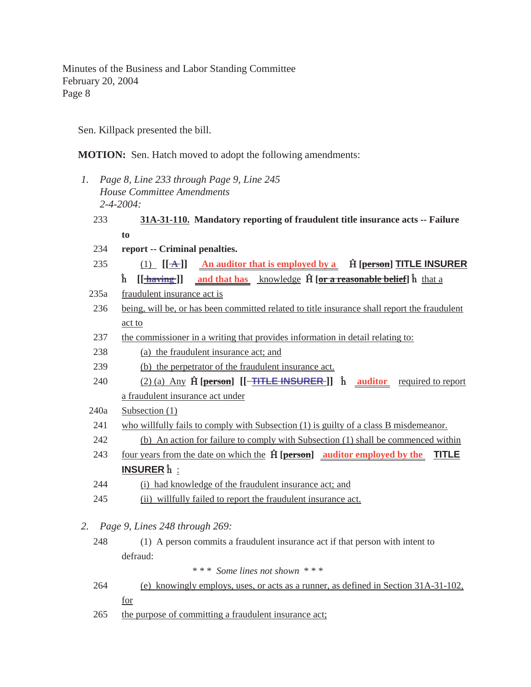Sen. Killpack presented the bill.

**MOTION:** Sen. Hatch moved to adopt the following amendments:

- *1. Page 8, Line 233 through Page 9, Line 245 House Committee Amendments 2-4-2004:*
	- 233 **31A-31-110. Mandatory reporting of fraudulent title insurance acts -- Failure to**
	- 234 **report -- Criminal penalties.**
	- 235 (1)  $[\mathbf{A}]$  An auditor that is employed by a  $\hat{\mathbf{H}}$  [person] **TITLE INSURER h** [[**<u>thaving</u>]] and that has knowledge <b>H** [or a reasonable belief] **h** that a
	- 235a fraudulent insurance act is
	- 236 being, will be, or has been committed related to title insurance shall report the fraudulent act to
	- 237 the commissioner in a writing that provides information in detail relating to:
	- 238 (a) the fraudulent insurance act; and
	- 239 (b) the perpetrator of the fraudulent insurance act.
	- 240 (2) (a) Any  $\hat{H}$  [person]  $[[\text{THE IN SURER}]]$   $\hat{h}$  auditor required to report a fraudulent insurance act under
	- 240a Subsection (1)
	- 241 who willfully fails to comply with Subsection (1) is guilty of a class B misdemeanor.
	- 242 (b) An action for failure to comply with Subsection (1) shall be commenced within
	- 243 four years from the date on which the  **[person] auditor employed by the TITLE INSURER**  $\hat{h}$  :
	- 244 (i) had knowledge of the fraudulent insurance act; and
	- 245 (ii) willfully failed to report the fraudulent insurance act.
- *2. Page 9, Lines 248 through 269:*
	- 248 (1) A person commits a fraudulent insurance act if that person with intent to defraud:

\* \* \* *Some lines not shown* \* \* \*

- 264 (e) knowingly employs, uses, or acts as a runner, as defined in Section 31A-31-102, for
- 265 the purpose of committing a fraudulent insurance act;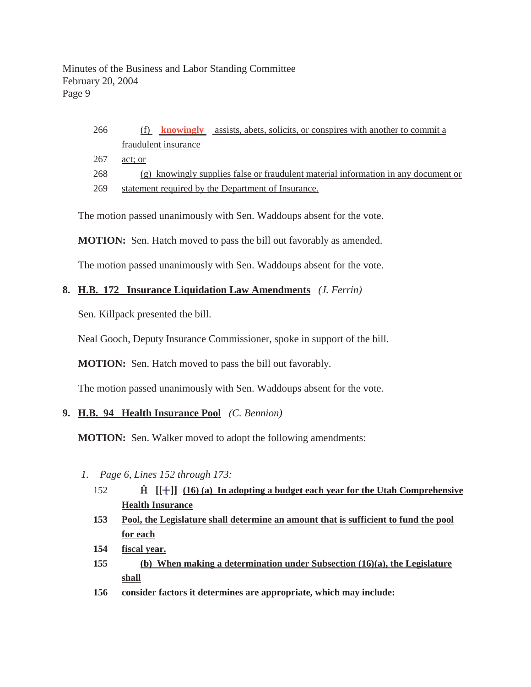# 266 (f) **knowingly** assists, abets, solicits, or conspires with another to commit a fraudulent insurance

267 act; or

268 (g) knowingly supplies false or fraudulent material information in any document or

269 statement required by the Department of Insurance.

The motion passed unanimously with Sen. Waddoups absent for the vote.

**MOTION:** Sen. Hatch moved to pass the bill out favorably as amended.

The motion passed unanimously with Sen. Waddoups absent for the vote.

## **8. H.B. 172 Insurance Liquidation Law Amendments** *(J. Ferrin)*

Sen. Killpack presented the bill.

Neal Gooch, Deputy Insurance Commissioner, spoke in support of the bill.

**MOTION:** Sen. Hatch moved to pass the bill out favorably.

The motion passed unanimously with Sen. Waddoups absent for the vote.

# **9. H.B. 94 Health Insurance Pool** *(C. Bennion)*

**MOTION:** Sen. Walker moved to adopt the following amendments:

- *1. Page 6, Lines 152 through 173:*
	- 152 **[[ ]] [ (16) (a) In adopting a budget each year for the Utah Comprehensive Health Insurance**
	- **153 Pool, the Legislature shall determine an amount that is sufficient to fund the pool for each**
	- **154 fiscal year.**
	- **155 (b) When making a determination under Subsection (16)(a), the Legislature shall**
	- **156 consider factors it determines are appropriate, which may include:**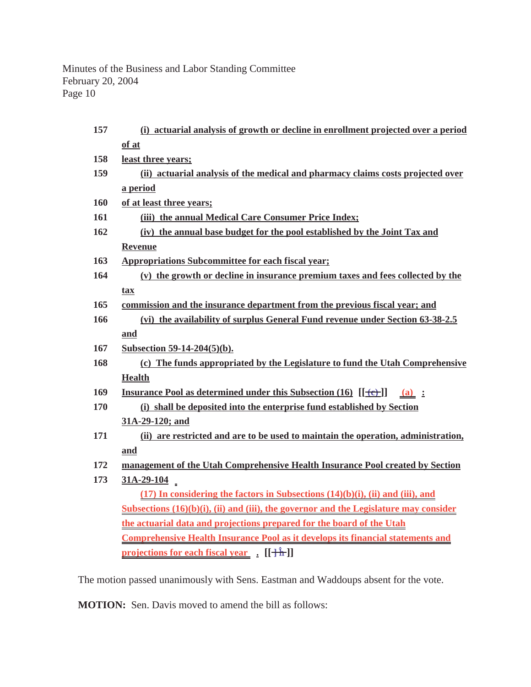| 157 | (i) actuarial analysis of growth or decline in enrollment projected over a period            |
|-----|----------------------------------------------------------------------------------------------|
|     | of at                                                                                        |
| 158 | least three years;                                                                           |
| 159 | (ii) actuarial analysis of the medical and pharmacy claims costs projected over              |
|     | a period                                                                                     |
| 160 | of at least three years;                                                                     |
| 161 | (iii) the annual Medical Care Consumer Price Index;                                          |
| 162 | (iv) the annual base budget for the pool established by the Joint Tax and                    |
|     | <b>Revenue</b>                                                                               |
| 163 | <b>Appropriations Subcommittee for each fiscal year;</b>                                     |
| 164 | (v) the growth or decline in insurance premium taxes and fees collected by the               |
|     | tax                                                                                          |
| 165 | commission and the insurance department from the previous fiscal year; and                   |
| 166 | (vi) the availability of surplus General Fund revenue under Section 63-38-2.5                |
|     | and                                                                                          |
| 167 | Subsection 59-14-204(5)(b).                                                                  |
| 168 | (c) The funds appropriated by the Legislature to fund the Utah Comprehensive                 |
|     | <b>Health</b>                                                                                |
| 169 | <b>Insurance Pool as determined under this Subsection (16)</b> $[[\rightarrow e]$<br>$(a)$ : |
| 170 | (i) shall be deposited into the enterprise fund established by Section                       |
|     | 31A-29-120; and                                                                              |
| 171 | (ii) are restricted and are to be used to maintain the operation, administration,            |
|     | and                                                                                          |
| 172 | management of the Utah Comprehensive Health Insurance Pool created by Section                |
| 173 | $31A-29-104$                                                                                 |
|     | $(17)$ In considering the factors in Subsections $(14)(b)(i)$ , (ii) and (iii), and          |
|     | Subsections $(16)(b)(i)$ , (ii) and (iii), the governor and the Legislature may consider     |
|     | the actuarial data and projections prepared for the board of the Utah                        |
|     | <b>Comprehensive Health Insurance Pool as it develops its financial statements and</b>       |
|     | projections for each fiscal year [[ <del>] h</del> ]]                                        |
|     |                                                                                              |

The motion passed unanimously with Sens. Eastman and Waddoups absent for the vote.

**MOTION:** Sen. Davis moved to amend the bill as follows: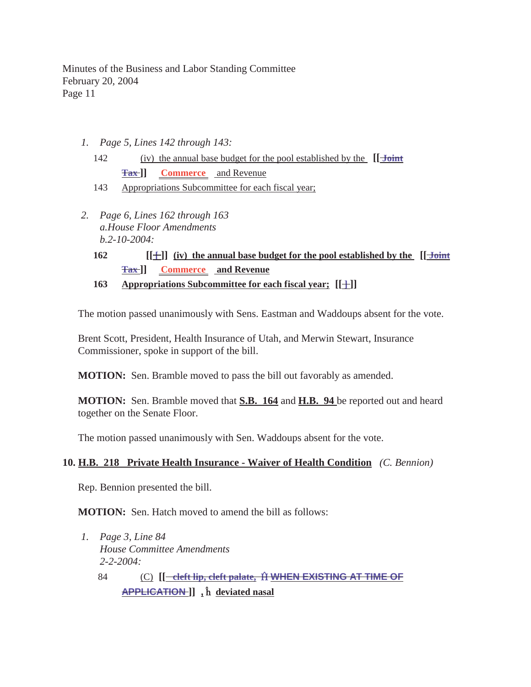- *1. Page 5, Lines 142 through 143:*
	- 142 (iv) the annual base budget for the pool established by the **[[ Joint Tax ]] Commerce** and Revenue
	- 143 Appropriations Subcommittee for each fiscal year;
- *2. Page 6, Lines 162 through 163 a.House Floor Amendments b.2-10-2004:*
	- **162 [[** $\pm$ ]] (iv) the annual base budget for the pool established by the [[ $\frac{\text{Joint}}{\text{Joint}}$ **Tax ]] Commerce and Revenue**
	- **163** Appropriations Subcommittee for each fiscal year; [[+]]

The motion passed unanimously with Sens. Eastman and Waddoups absent for the vote.

Brent Scott, President, Health Insurance of Utah, and Merwin Stewart, Insurance Commissioner, spoke in support of the bill.

**MOTION:** Sen. Bramble moved to pass the bill out favorably as amended.

**MOTION:** Sen. Bramble moved that **S.B. 164** and **H.B. 94** be reported out and heard together on the Senate Floor.

The motion passed unanimously with Sen. Waddoups absent for the vote.

### **10. H.B. 218 Private Health Insurance - Waiver of Health Condition** *(C. Bennion)*

Rep. Bennion presented the bill.

**MOTION:** Sen. Hatch moved to amend the bill as follows:

- *1. Page 3, Line 84 House Committee Amendments 2-2-2004:*
	- 84 (C) **[[ cleft lip, cleft palate, WHEN EXISTING AT TIME OF APPLICATION ]] ,** ¡ **deviated nasal**